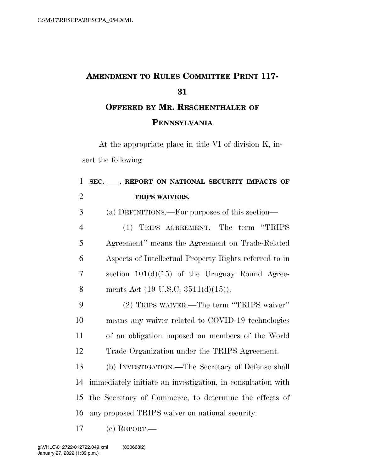## **AMENDMENT TO RULES COMMITTEE PRINT 117- OFFERED BY MR. RESCHENTHALER OF**

**PENNSYLVANIA**

At the appropriate place in title VI of division K, insert the following:

## **SEC.** ll**. REPORT ON NATIONAL SECURITY IMPACTS OF TRIPS WAIVERS.**  (a) DEFINITIONS.—For purposes of this section— (1) TRIPS AGREEMENT.—The term ''TRIPS Agreement'' means the Agreement on Trade-Related Aspects of Intellectual Property Rights referred to in section 101(d)(15) of the Uruguay Round Agree-8 ments Act  $(19 \text{ U.S.C. } 3511(d)(15)).$  (2) TRIPS WAIVER.—The term ''TRIPS waiver'' means any waiver related to COVID-19 technologies of an obligation imposed on members of the World Trade Organization under the TRIPS Agreement. (b) INVESTIGATION.—The Secretary of Defense shall immediately initiate an investigation, in consultation with the Secretary of Commerce, to determine the effects of any proposed TRIPS waiver on national security.

(c) REPORT.—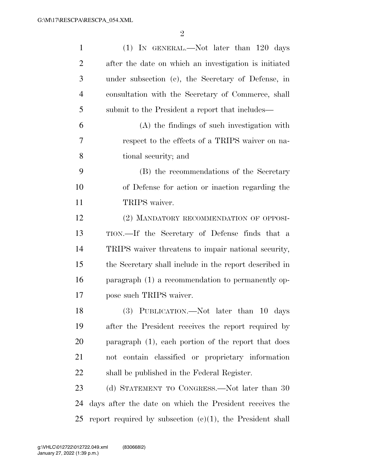| $\mathbf{1}$   | $(1)$ In GENERAL.—Not later than 120 days                    |
|----------------|--------------------------------------------------------------|
| $\overline{2}$ | after the date on which an investigation is initiated        |
| 3              | under subsection (c), the Secretary of Defense, in           |
| $\overline{4}$ | consultation with the Secretary of Commerce, shall           |
| 5              | submit to the President a report that includes—              |
| 6              | (A) the findings of such investigation with                  |
| 7              | respect to the effects of a TRIPS waiver on na-              |
| 8              | tional security; and                                         |
| 9              | (B) the recommendations of the Secretary                     |
| 10             | of Defense for action or inaction regarding the              |
| 11             | TRIPS waiver.                                                |
| 12             | (2) MANDATORY RECOMMENDATION OF OPPOSI-                      |
| 13             | TION.—If the Secretary of Defense finds that a               |
| 14             | TRIPS waiver threatens to impair national security,          |
| 15             | the Secretary shall include in the report described in       |
| 16             | paragraph (1) a recommendation to permanently op-            |
| 17             | pose such TRIPS waiver.                                      |
| 18             | $(3)$ PUBLICATION.—Not later than 10 days                    |
| 19             | after the President receives the report required by          |
| 20             | paragraph (1), each portion of the report that does          |
| 21             | not contain classified or proprietary information            |
| 22             | shall be published in the Federal Register.                  |
| 23             | (d) STATEMENT TO CONGRESS.—Not later than 30                 |
| 24             | days after the date on which the President receives the      |
| 25             | report required by subsection $(c)(1)$ , the President shall |